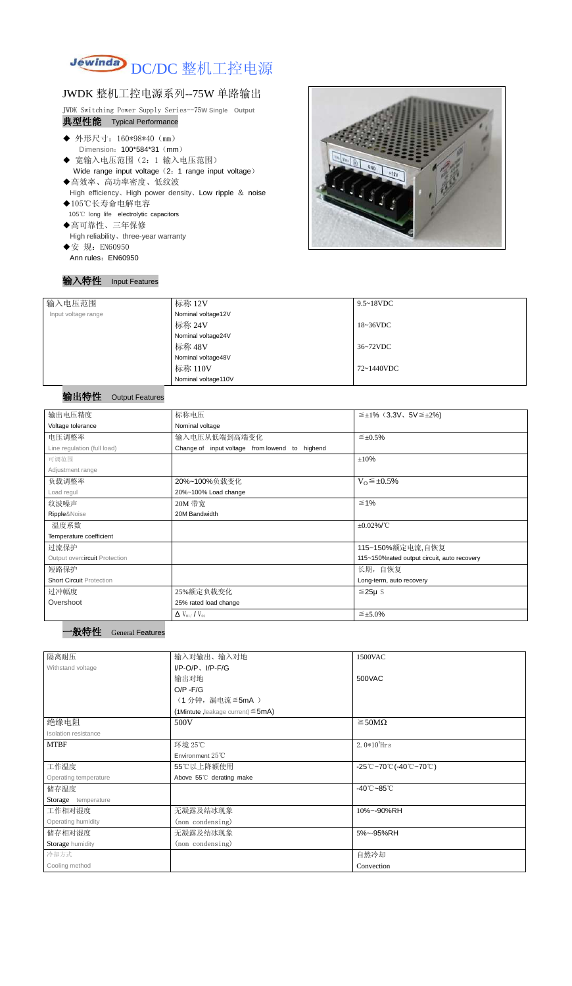

## JWDK 整机工控电源系列--75W 单路输出

JWDK Switching Power Supply Series--75**W Single Output**

# 典型性能 Typical Performance

- ◆ 外形尺寸: 160\*98\*40 (mm) Dimension: 100\*584\*31 (mm)
- ◆ 宽输入电压范围(2:1 输入电压范围) Wide range input voltage (2: 1 range input voltage)
- ◆高效率、高功率密度、低纹波 High efficiency、High power density、Low ripple & noise
- ◆105℃长寿命电解电容 105℃ long life electrolytic capacitors
- ◆高可靠性、三年保修 High reliability、three-year warranty
- ◆安 规: EN60950 Ann rules: EN60950

### 输入特性 Input Features



| 输入电压范围              | 标称 12V              | $9.5 \sim 18$ VDC |
|---------------------|---------------------|-------------------|
| Input voltage range | Nominal voltage12V  |                   |
|                     | 标称 24V              | 18~36VDC          |
|                     | Nominal voltage24V  |                   |
|                     | 标称 48V              | 36~72VDC          |
|                     | Nominal voltage48V  |                   |
|                     | 标称 110V             | 72~1440VDC        |
|                     | Nominal voltage110V |                   |

### 输出特性 Output Features

| 输出电压精度                          | 标称电压                                           | $\leq \pm 1\%$ (3.3V, 5V $\leq \pm 2\%$ )   |  |
|---------------------------------|------------------------------------------------|---------------------------------------------|--|
| Voltage tolerance               | Nominal voltage                                |                                             |  |
| 电压调整率                           | 输入电压从低端到高端变化                                   | $\leq \pm 0.5\%$                            |  |
| Line regulation (full load)     | Change of input voltage from lowend to highend |                                             |  |
| 可调范围                            |                                                | ±10%                                        |  |
| Adjustment range                |                                                |                                             |  |
| 负载调整率                           | 20%~100%负载变化                                   | $V_0 \leq \pm 0.5\%$                        |  |
| Load regul                      | 20%~100% Load change                           |                                             |  |
| 纹波噪声                            | 20M 带宽                                         | $\leq 1\%$                                  |  |
| Ripple&Noise                    | 20M Bandwidth                                  |                                             |  |
| 温度系数                            |                                                | $\pm 0.02\%$ /°C                            |  |
| Temperature coefficient         |                                                |                                             |  |
| 过流保护                            |                                                | 115~150%额定电流,自恢复                            |  |
| Output overcircuit Protection   |                                                | 115~150%rated output circuit, auto recovery |  |
| 短路保护                            |                                                | 长期, 自恢复                                     |  |
| <b>Short Circuit Protection</b> |                                                | Long-term, auto recovery                    |  |
| 过冲幅度                            | 25%额定负载变化                                      | $≤25\mu$ S                                  |  |
| Overshoot                       | 25% rated load change                          |                                             |  |
|                                 | $\Delta$ V <sub>01</sub> /V <sub>01</sub>      | $\leq \pm 5.0\%$                            |  |

| 隔离耐压                  | 输入对输出、输入对地<br>1500VAC                   |                                                                                       |  |  |
|-----------------------|-----------------------------------------|---------------------------------------------------------------------------------------|--|--|
| Withstand voltage     | $I/P-O/P$ , $I/P-F/G$                   |                                                                                       |  |  |
|                       | 输出对地                                    | 500VAC                                                                                |  |  |
|                       | $O/P - F/G$                             |                                                                                       |  |  |
|                       | (1分钟,漏电流 ≦5mA)                          |                                                                                       |  |  |
|                       | (1Mintute, leakage current) $\leq$ 5mA) |                                                                                       |  |  |
| 绝缘电阻                  | 500V                                    | $\geq$ 50M $\Omega$                                                                   |  |  |
| Isolation resistance  |                                         |                                                                                       |  |  |
| <b>MTBF</b>           | 环境 25℃                                  | $2.0*10^5$ Hrs                                                                        |  |  |
|                       | Environment $25^{\circ}$ C              |                                                                                       |  |  |
| 工作温度                  | 55℃以上降额使用                               | $-25^{\circ}\text{C}-70^{\circ}\text{C}$ (-40 $^{\circ}\text{C}-70^{\circ}\text{C}$ ) |  |  |
| Operating temperature | Above 55°C derating make                |                                                                                       |  |  |
| 储存温度                  |                                         | $-40^{\circ}$ C $-85^{\circ}$ C                                                       |  |  |
| Storage temperature   |                                         |                                                                                       |  |  |
| 工作相对湿度                | 无凝露及结冰现象                                | 10%~-90%RH                                                                            |  |  |
| Operating humidity    | (non condensing)                        |                                                                                       |  |  |
| 储存相对湿度                | 无凝露及结冰现象                                | 5%~-95%RH                                                                             |  |  |
| Storage humidity      | (non condensing)                        |                                                                                       |  |  |
| 冷却方式                  |                                         | 自然冷却                                                                                  |  |  |
| Cooling method        |                                         | Convection                                                                            |  |  |